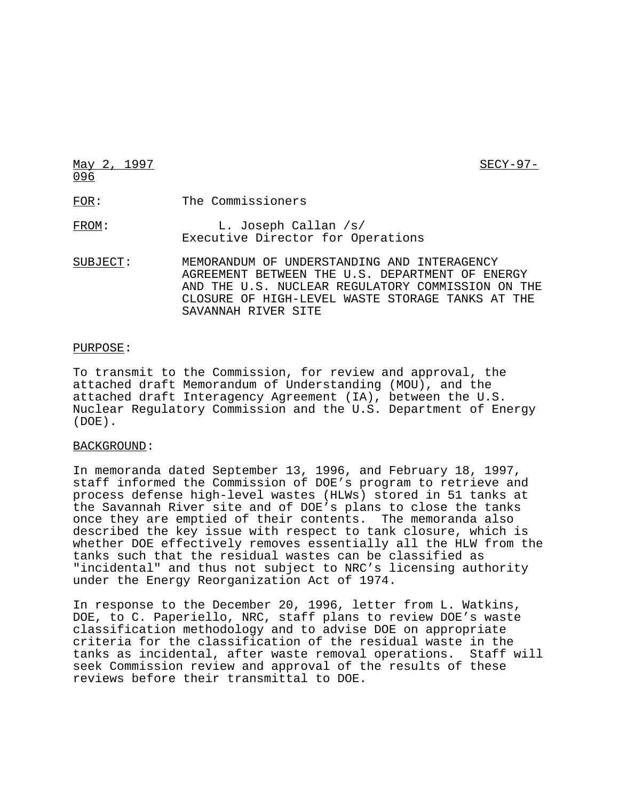May 2, 1997 SECY-97-096 FOR: The Commissioners FROM: L. Joseph Callan /s/ Executive Director for Operations SUBJECT: MEMORANDUM OF UNDERSTANDING AND INTERAGENCY AGREEMENT BETWEEN THE U.S. DEPARTMENT OF ENERGY AND THE U.S. NUCLEAR REGULATORY COMMISSION ON THE CLOSURE OF HIGH-LEVEL WASTE STORAGE TANKS AT THE

### PURPOSE:

To transmit to the Commission, for review and approval, the attached draft Memorandum of Understanding (MOU), and the attached draft Interagency Agreement (IA), between the U.S. Nuclear Regulatory Commission and the U.S. Department of Energy (DOE).

SAVANNAH RIVER SITE

#### BACKGROUND:

In memoranda dated September 13, 1996, and February 18, 1997, staff informed the Commission of DOE's program to retrieve and process defense high-level wastes (HLWs) stored in 51 tanks at the Savannah River site and of DOE's plans to close the tanks once they are emptied of their contents. The memoranda also described the key issue with respect to tank closure, which is whether DOE effectively removes essentially all the HLW from the tanks such that the residual wastes can be classified as "incidental" and thus not subject to NRC's licensing authority under the Energy Reorganization Act of 1974.

In response to the December 20, 1996, letter from L. Watkins, DOE, to C. Paperiello, NRC, staff plans to review DOE's waste classification methodology and to advise DOE on appropriate criteria for the classification of the residual waste in the tanks as incidental, after waste removal operations. Staff will seek Commission review and approval of the results of these reviews before their transmittal to DOE.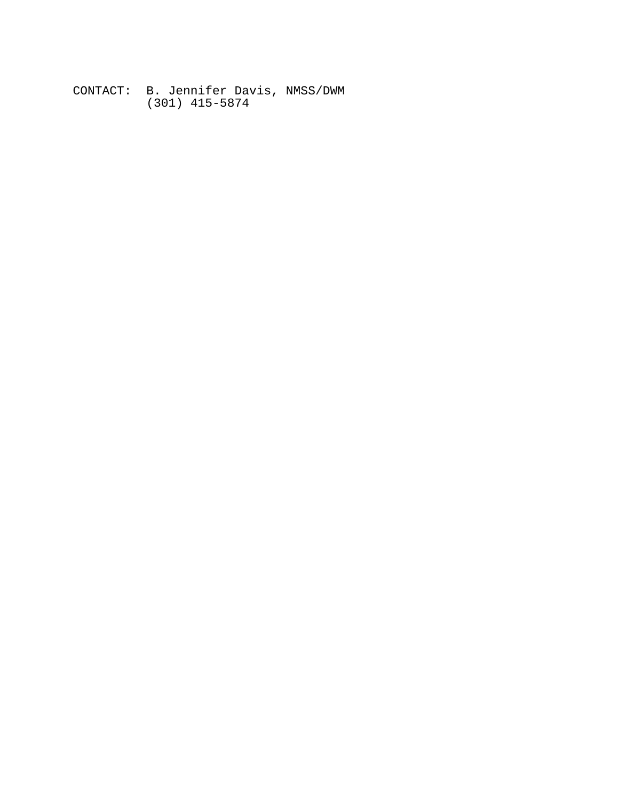CONTACT: B. Jennifer Davis, NMSS/DWM (301) 415-5874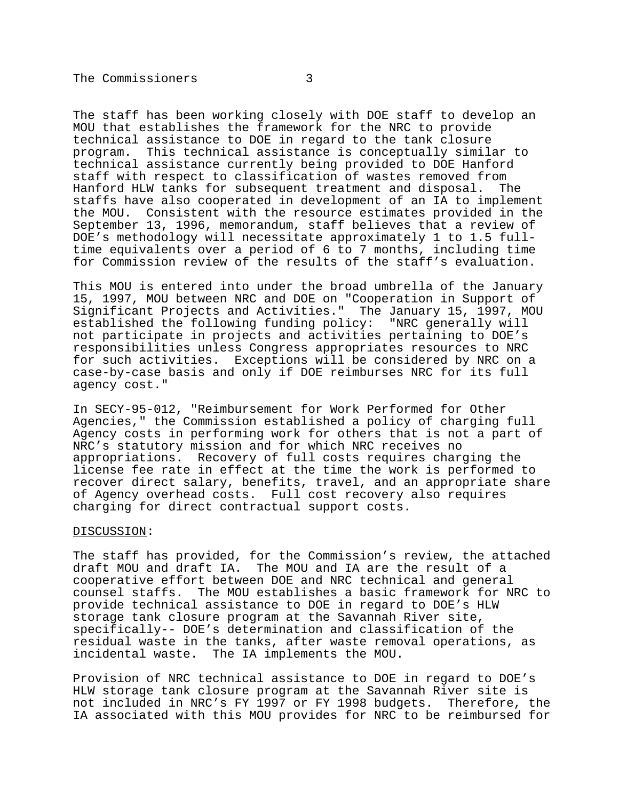The staff has been working closely with DOE staff to develop an MOU that establishes the framework for the NRC to provide technical assistance to DOE in regard to the tank closure program. This technical assistance is conceptually similar to technical assistance currently being provided to DOE Hanford staff with respect to classification of wastes removed from Hanford HLW tanks for subsequent treatment and disposal. The staffs have also cooperated in development of an IA to implement the MOU. Consistent with the resource estimates provided in the September 13, 1996, memorandum, staff believes that a review of DOE's methodology will necessitate approximately 1 to 1.5 fulltime equivalents over a period of 6 to 7 months, including time for Commission review of the results of the staff's evaluation.

This MOU is entered into under the broad umbrella of the January 15, 1997, MOU between NRC and DOE on "Cooperation in Support of Significant Projects and Activities." The January 15, 1997, MOU established the following funding policy: "NRC generally will not participate in projects and activities pertaining to DOE's responsibilities unless Congress appropriates resources to NRC for such activities. Exceptions will be considered by NRC on a case-by-case basis and only if DOE reimburses NRC for its full agency cost."

In SECY-95-012, "Reimbursement for Work Performed for Other Agencies," the Commission established a policy of charging full Agency costs in performing work for others that is not a part of NRC's statutory mission and for which NRC receives no appropriations. Recovery of full costs requires charging the license fee rate in effect at the time the work is performed to recover direct salary, benefits, travel, and an appropriate share of Agency overhead costs. Full cost recovery also requires charging for direct contractual support costs.

#### DISCUSSION:

The staff has provided, for the Commission's review, the attached draft MOU and draft IA. The MOU and IA are the result of a cooperative effort between DOE and NRC technical and general counsel staffs. The MOU establishes a basic framework for NRC to provide technical assistance to DOE in regard to DOE's HLW storage tank closure program at the Savannah River site, specifically-- DOE's determination and classification of the residual waste in the tanks, after waste removal operations, as incidental waste. The IA implements the MOU.

Provision of NRC technical assistance to DOE in regard to DOE's HLW storage tank closure program at the Savannah River site is not included in NRC's FY 1997 or FY 1998 budgets. Therefore, the IA associated with this MOU provides for NRC to be reimbursed for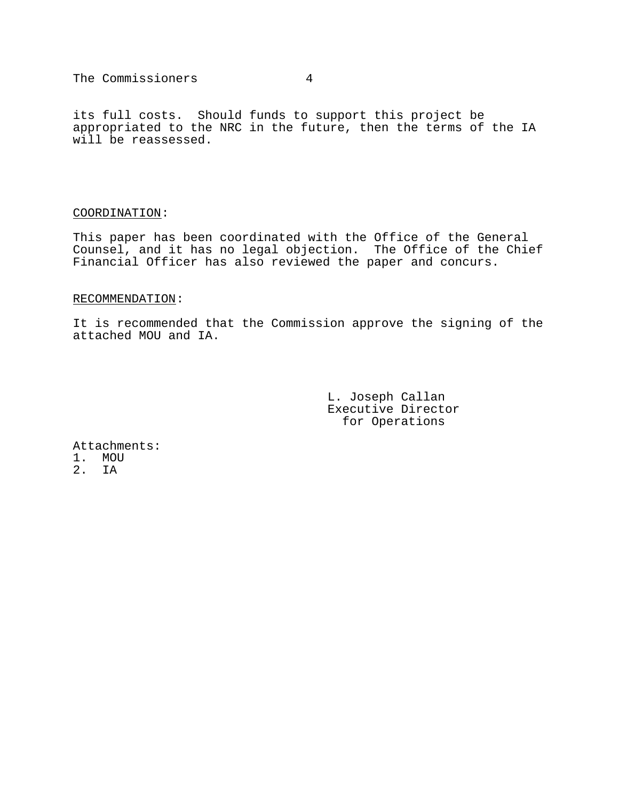The Commissioners 4

its full costs. Should funds to support this project be appropriated to the NRC in the future, then the terms of the IA will be reassessed.

## COORDINATION:

This paper has been coordinated with the Office of the General Counsel, and it has no legal objection. The Office of the Chief Financial Officer has also reviewed the paper and concurs.

# RECOMMENDATION:

It is recommended that the Commission approve the signing of the attached MOU and IA.

> L. Joseph Callan Executive Director for Operations

Attachments: 1. MOU 2. IA